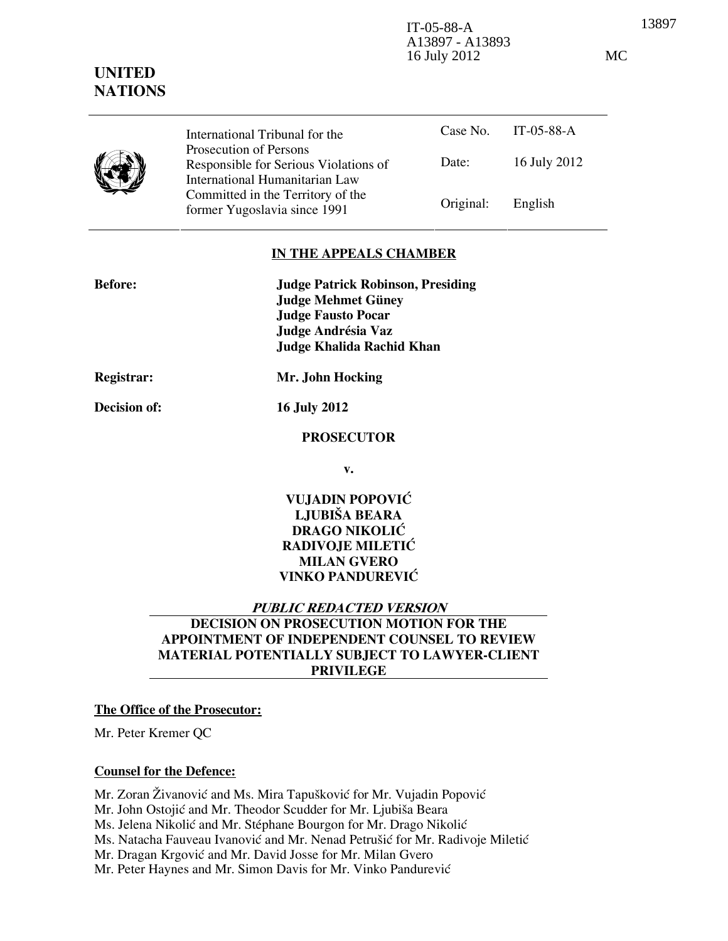13897 IT-05-88-A A13897 - A13893 16 July 2012 MC

Case No. IT-05-88-A Date: 16 July 2012 International Tribunal for the Prosecution of Persons Responsible for Serious Violations of International Humanitarian Law Committed in the Territory of the former Yugoslavia since 1991 Original: English

## IN THE APPEALS CHAMBER

| <b>Before:</b> | <b>Judge Patrick Robinson, Presiding</b> |
|----------------|------------------------------------------|
|                | <b>Judge Mehmet Güney</b>                |
|                | <b>Judge Fausto Pocar</b>                |
|                | Judge Andrésia Vaz                       |
|                | Judge Khalida Rachid Khan                |
|                |                                          |

UNITED **NATIONS** 

Registrar: Mr. John Hocking

Decision of: 16 July 2012

#### PROSECUTOR

v.

VUJADIN POPOVIĆ LJUBIŠA BEARA DRAGO NIKOLIĆ RADIVOJE MILETIĆ MILAN GVERO VINKO PANDUREVIĆ

#### PUBLIC REDACTED VERSION

# DECISION ON PROSECUTION MOTION FOR THE APPOINTMENT OF INDEPENDENT COUNSEL TO REVIEW MATERIAL POTENTIALLY SUBJECT TO LAWYER-CLIENT PRIVILEGE

#### The Office of the Prosecutor:

Mr. Peter Kremer QC

#### Counsel for the Defence:

Mr. Zoran Živanović and Ms. Mira Tapušković for Mr. Vujadin Popović

Mr. John Ostojić and Mr. Theodor Scudder for Mr. Ljubiša Beara

Ms. Jelena Nikolić and Mr. Stéphane Bourgon for Mr. Drago Nikolić

Ms. Natacha Fauveau Ivanović and Mr. Nenad Petrušić for Mr. Radivoje Miletić

Mr. Dragan Krgović and Mr. David Josse for Mr. Milan Gvero

Mr. Peter Haynes and Mr. Simon Davis for Mr. Vinko Pandurević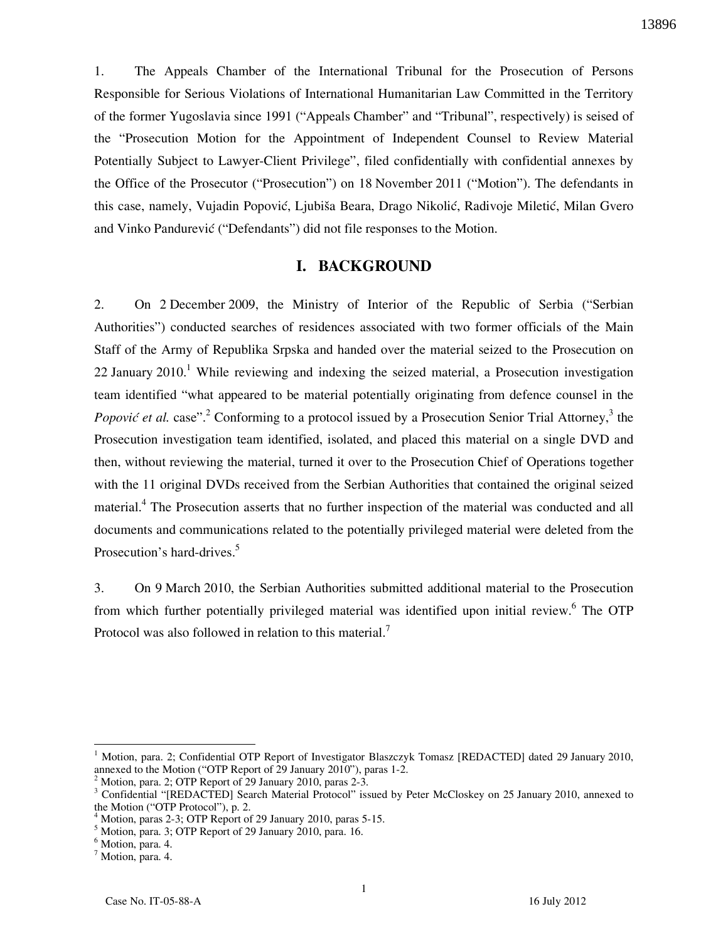1. The Appeals Chamber of the International Tribunal for the Prosecution of Persons Responsible for Serious Violations of International Humanitarian Law Committed in the Territory of the former Yugoslavia since 1991 ("Appeals Chamber" and "Tribunal", respectively) is seised of the "Prosecution Motion for the Appointment of Independent Counsel to Review Material Potentially Subject to Lawyer-Client Privilege", filed confidentially with confidential annexes by the Office of the Prosecutor ("Prosecution") on 18 November 2011 ("Motion"). The defendants in this case, namely, Vujadin Popović, Ljubiša Beara, Drago Nikolić, Radivoje Miletić, Milan Gvero and Vinko Pandurević ("Defendants") did not file responses to the Motion.

## I. BACKGROUND

2. On 2 December 2009, the Ministry of Interior of the Republic of Serbia ("Serbian Authorities") conducted searches of residences associated with two former officials of the Main Staff of the Army of Republika Srpska and handed over the material seized to the Prosecution on 22 January  $2010<sup>1</sup>$  While reviewing and indexing the seized material, a Prosecution investigation team identified "what appeared to be material potentially originating from defence counsel in the Popović et al. case".<sup>2</sup> Conforming to a protocol issued by a Prosecution Senior Trial Attorney,<sup>3</sup> the Prosecution investigation team identified, isolated, and placed this material on a single DVD and then, without reviewing the material, turned it over to the Prosecution Chief of Operations together with the 11 original DVDs received from the Serbian Authorities that contained the original seized material.<sup>4</sup> The Prosecution asserts that no further inspection of the material was conducted and all documents and communications related to the potentially privileged material were deleted from the Prosecution's hard-drives.<sup>5</sup>

3. On 9 March 2010, the Serbian Authorities submitted additional material to the Prosecution from which further potentially privileged material was identified upon initial review.<sup>6</sup> The OTP Protocol was also followed in relation to this material.<sup>7</sup>

 $\overline{a}$ 

<sup>&</sup>lt;sup>1</sup> Motion, para. 2; Confidential OTP Report of Investigator Blaszczyk Tomasz [REDACTED] dated 29 January 2010, annexed to the Motion ("OTP Report of 29 January 2010"), paras 1-2.

<sup>2</sup> Motion, para. 2; OTP Report of 29 January 2010, paras 2-3.

<sup>&</sup>lt;sup>3</sup> Confidential "[REDACTED] Search Material Protocol" issued by Peter McCloskey on 25 January 2010, annexed to the Motion ("OTP Protocol"), p. 2.

<sup>4</sup> Motion, paras 2-3; OTP Report of 29 January 2010, paras 5-15.

<sup>5</sup> Motion, para. 3; OTP Report of 29 January 2010, para. 16.

<sup>&</sup>lt;sup>6</sup> Motion, para. 4.

<sup>&</sup>lt;sup>7</sup> Motion, para. 4.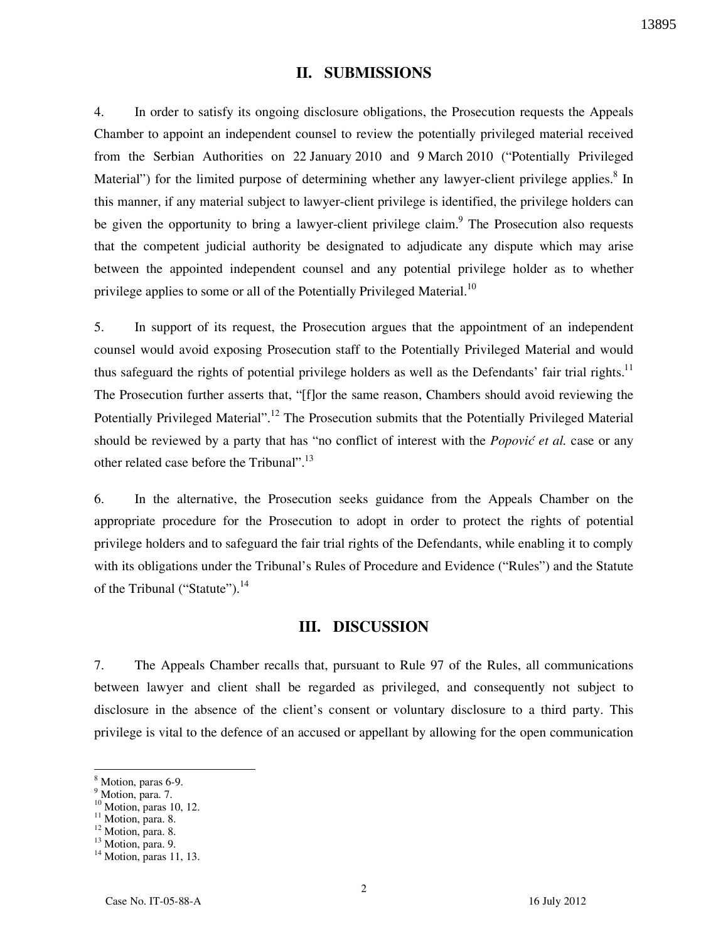# II. SUBMISSIONS

4. In order to satisfy its ongoing disclosure obligations, the Prosecution requests the Appeals Chamber to appoint an independent counsel to review the potentially privileged material received from the Serbian Authorities on 22 January 2010 and 9 March 2010 ("Potentially Privileged Material") for the limited purpose of determining whether any lawyer-client privilege applies.<sup>8</sup> In this manner, if any material subject to lawyer-client privilege is identified, the privilege holders can be given the opportunity to bring a lawyer-client privilege claim.<sup>9</sup> The Prosecution also requests that the competent judicial authority be designated to adjudicate any dispute which may arise between the appointed independent counsel and any potential privilege holder as to whether privilege applies to some or all of the Potentially Privileged Material.<sup>10</sup>

5. In support of its request, the Prosecution argues that the appointment of an independent counsel would avoid exposing Prosecution staff to the Potentially Privileged Material and would thus safeguard the rights of potential privilege holders as well as the Defendants' fair trial rights.<sup>11</sup> The Prosecution further asserts that, "[f]or the same reason, Chambers should avoid reviewing the Potentially Privileged Material".<sup>12</sup> The Prosecution submits that the Potentially Privileged Material should be reviewed by a party that has "no conflict of interest with the *Popović et al.* case or any other related case before the Tribunal".<sup>13</sup>

6. In the alternative, the Prosecution seeks guidance from the Appeals Chamber on the appropriate procedure for the Prosecution to adopt in order to protect the rights of potential privilege holders and to safeguard the fair trial rights of the Defendants, while enabling it to comply with its obligations under the Tribunal's Rules of Procedure and Evidence ("Rules") and the Statute of the Tribunal ("Statute").<sup>14</sup>

#### III. DISCUSSION

7. The Appeals Chamber recalls that, pursuant to Rule 97 of the Rules, all communications between lawyer and client shall be regarded as privileged, and consequently not subject to disclosure in the absence of the client's consent or voluntary disclosure to a third party. This privilege is vital to the defence of an accused or appellant by allowing for the open communication

 $\overline{a}$ 

<sup>8</sup> Motion, paras 6-9.

<sup>&</sup>lt;sup>9</sup> Motion, para. 7.

 $10$  Motion, paras 10, 12.

<sup>&</sup>lt;sup>11</sup> Motion, para. 8.

<sup>&</sup>lt;sup>12</sup> Motion, para. 8.

<sup>&</sup>lt;sup>13</sup> Motion, para. 9.

<sup>&</sup>lt;sup>14</sup> Motion, paras 11, 13.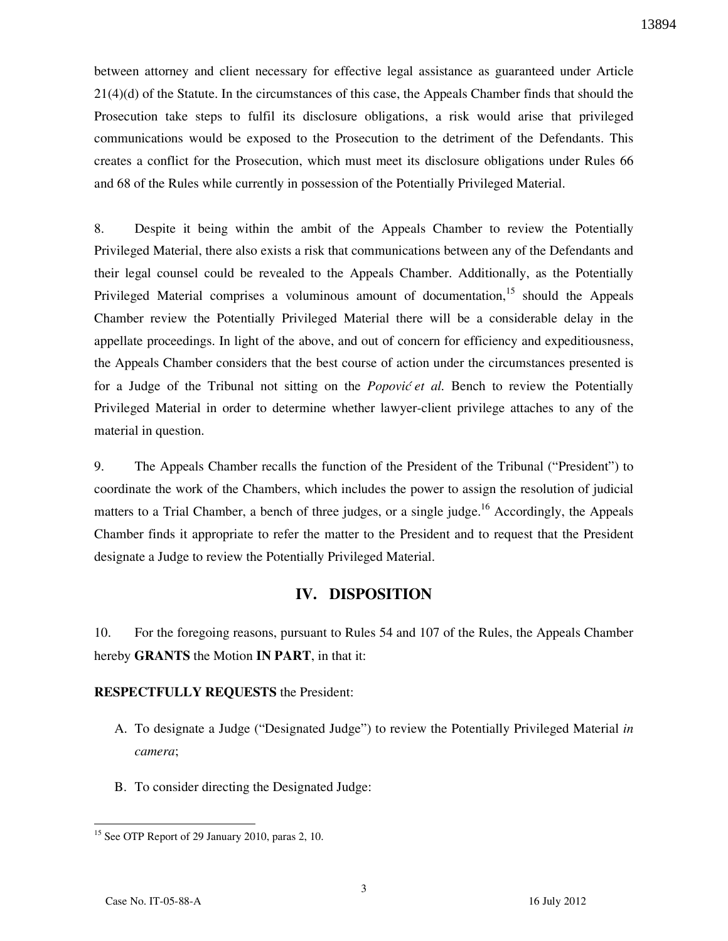between attorney and client necessary for effective legal assistance as guaranteed under Article 21(4)(d) of the Statute. In the circumstances of this case, the Appeals Chamber finds that should the Prosecution take steps to fulfil its disclosure obligations, a risk would arise that privileged communications would be exposed to the Prosecution to the detriment of the Defendants. This creates a conflict for the Prosecution, which must meet its disclosure obligations under Rules 66 and 68 of the Rules while currently in possession of the Potentially Privileged Material.

8. Despite it being within the ambit of the Appeals Chamber to review the Potentially Privileged Material, there also exists a risk that communications between any of the Defendants and their legal counsel could be revealed to the Appeals Chamber. Additionally, as the Potentially Privileged Material comprises a voluminous amount of documentation,<sup>15</sup> should the Appeals Chamber review the Potentially Privileged Material there will be a considerable delay in the appellate proceedings. In light of the above, and out of concern for efficiency and expeditiousness, the Appeals Chamber considers that the best course of action under the circumstances presented is for a Judge of the Tribunal not sitting on the *Popović et al.* Bench to review the Potentially Privileged Material in order to determine whether lawyer-client privilege attaches to any of the material in question.

9. The Appeals Chamber recalls the function of the President of the Tribunal ("President") to coordinate the work of the Chambers, which includes the power to assign the resolution of judicial matters to a Trial Chamber, a bench of three judges, or a single judge.<sup>16</sup> Accordingly, the Appeals Chamber finds it appropriate to refer the matter to the President and to request that the President designate a Judge to review the Potentially Privileged Material.

## IV. DISPOSITION

10. For the foregoing reasons, pursuant to Rules 54 and 107 of the Rules, the Appeals Chamber hereby GRANTS the Motion IN PART, in that it:

#### RESPECTFULLY REQUESTS the President:

- A. To designate a Judge ("Designated Judge") to review the Potentially Privileged Material in camera;
- B. To consider directing the Designated Judge:

 $\overline{a}$ <sup>15</sup> See OTP Report of 29 January 2010, paras 2, 10.